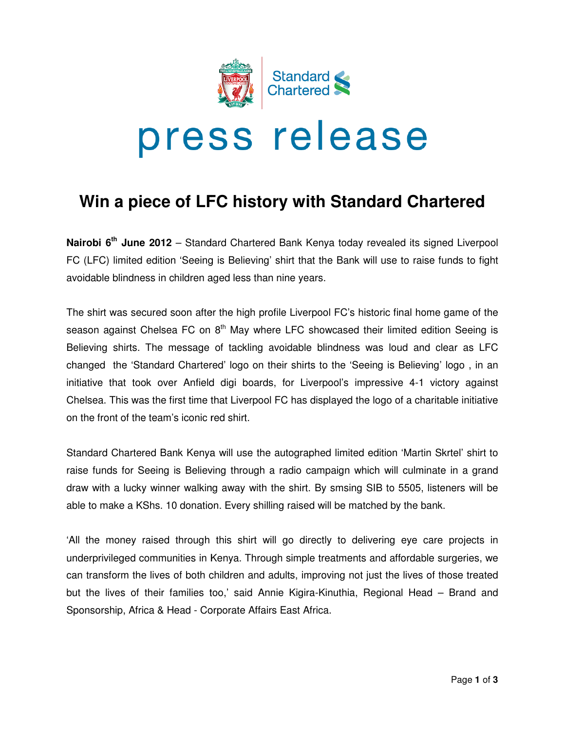

# **Win a piece of LFC history with Standard Chartered**

Nairobi 6<sup>th</sup> June 2012 – Standard Chartered Bank Kenya today revealed its signed Liverpool FC (LFC) limited edition 'Seeing is Believing' shirt that the Bank will use to raise funds to fight avoidable blindness in children aged less than nine years aged less than years.

The shirt was secured soon after the high profile Liverpool FC's historic final home game of the season against Chelsea FC on 8<sup>th</sup> May where LFC showcased their limited edition Seeing is Believing shirts. The message of tackling avoidable blindness was loud and clear as LFC changed the 'Standard Chartered' logo on their shirts to the 'Seeing is Believing' logo , in an initiative that took over Anfield digi boards, for Liverpool's impressive 4-1 victory against Chelsea. This was the first time that Liverpool FC has displayed the logo of a charitable initiative<br>on the front of the team's iconic red shirt. on the front of the team's iconic red shirt message of tackling avoidable blindness was loud and clear as LFC<br>d Chartered' logo on their shirts to the 'Seeing is Believing' logo , in an<br>er Anfield digi boards, for Liverpool's impressive 4-1 victory against showcased their limited edition Seeing is<br>a blindness was loud and clear as LFC<br>ts to the 'Seeing is Believing' logo, in an<br>verpool's impressive 4-1 victory against<br>displayed the logo of a charitable initiative<br>phed limite

Standard Chartered Bank Kenya will use the autographed limited edition 'Martin Skrtel raise funds for Seeing is Believing through a radio campaign which will culminate in a grand draw with a lucky winner walking away with the shirt. By smsing SIB to 5505, listeners will be able to make a KShs. 10 donation. Every shilling raised will be matched by the bank.

'All the money raised through this shirt will go directly to delivering eye care projects in underprivileged communities in Kenya. Through simple treatments and affordable surgeries, we can transform the lives of both children and adults, improving not just the lives of those treated but the lives of their families too,' said Annie Kigira-Kinuthia, Regional Head Sponsorship, Africa & Head - Corporate Affairs East Africa. Africa. the money raised through this shirt will go directly to delivering eye care projects in<br>erprivileged communities in Kenya. Through simple treatments and affordable surgeries, we<br>transform the lives of both children and adu mpaign which will culminate in a grand<br>By smsing SIB to 5505, listeners will be<br>will be matched by the bank.<br>ctly to delivering eye care projects in<br>treatments and affordable surgeries, we<br>roving not just the lives of thos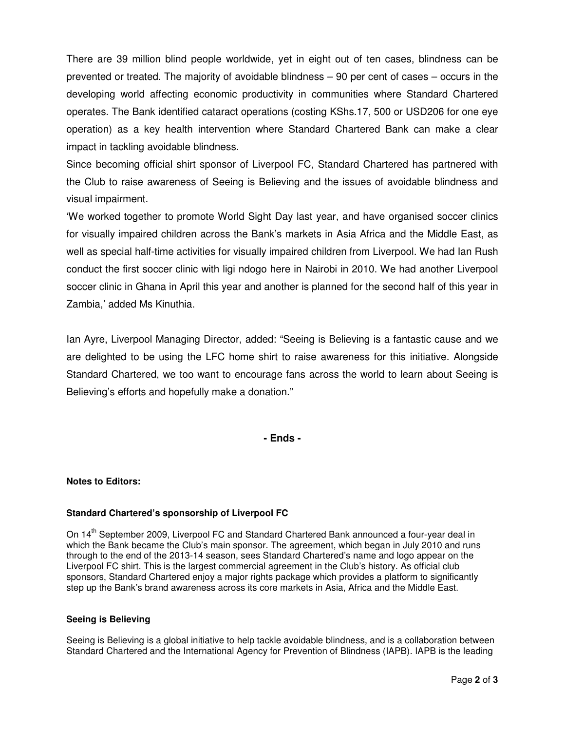There are 39 million blind people worldwide, yet in eight out of ten cases, blindness can be prevented or treated. The majority of avoidable blindness – 90 per cent of cases – occurs in the developing world affecting economic productivity in communities where Standard Chartered operates. The Bank identified cataract operations (costing KShs.17, 500 or USD206 for one eye operation) as a key health intervention where Standard Chartered Bank can make a clear impact in tackling avoidable blindness.

Since becoming official shirt sponsor of Liverpool FC, Standard Chartered has partnered with the Club to raise awareness of Seeing is Believing and the issues of avoidable blindness and visual impairment.

'We worked together to promote World Sight Day last year, and have organised soccer clinics for visually impaired children across the Bank's markets in Asia Africa and the Middle East, as well as special half-time activities for visually impaired children from Liverpool. We had Ian Rush conduct the first soccer clinic with ligi ndogo here in Nairobi in 2010. We had another Liverpool soccer clinic in Ghana in April this year and another is planned for the second half of this year in Zambia,' added Ms Kinuthia.

Ian Ayre, Liverpool Managing Director, added: "Seeing is Believing is a fantastic cause and we are delighted to be using the LFC home shirt to raise awareness for this initiative. Alongside Standard Chartered, we too want to encourage fans across the world to learn about Seeing is Believing's efforts and hopefully make a donation."

**- Ends -** 

# **Notes to Editors:**

# **Standard Chartered's sponsorship of Liverpool FC**

On 14<sup>th</sup> September 2009, Liverpool FC and Standard Chartered Bank announced a four-year deal in which the Bank became the Club's main sponsor. The agreement, which began in July 2010 and runs through to the end of the 2013-14 season, sees Standard Chartered's name and logo appear on the Liverpool FC shirt. This is the largest commercial agreement in the Club's history. As official club sponsors, Standard Chartered enjoy a major rights package which provides a platform to significantly step up the Bank's brand awareness across its core markets in Asia, Africa and the Middle East.

### **Seeing is Believing**

Seeing is Believing is a global initiative to help tackle avoidable blindness, and is a collaboration between Standard Chartered and the International Agency for Prevention of Blindness (IAPB). IAPB is the leading